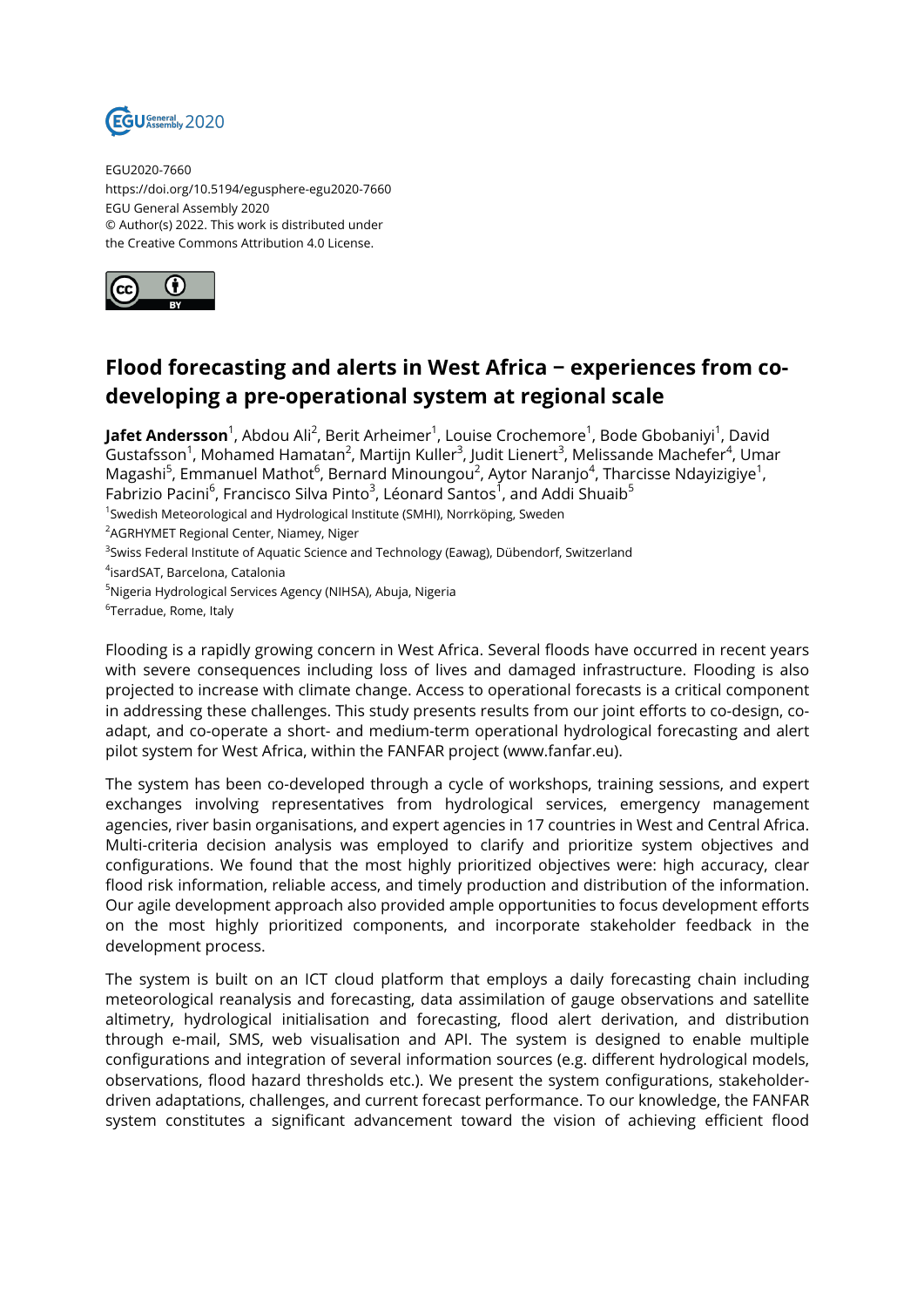

EGU2020-7660 https://doi.org/10.5194/egusphere-egu2020-7660 EGU General Assembly 2020 © Author(s) 2022. This work is distributed under the Creative Commons Attribution 4.0 License.



## **Flood forecasting and alerts in West Africa − experiences from codeveloping a pre-operational system at regional scale**

**Jafet Andersson**<sup>1</sup>, Abdou Ali<sup>2</sup>, Berit Arheimer<sup>1</sup>, Louise Crochemore<sup>1</sup>, Bode Gbobaniyi<sup>1</sup>, David Gustafsson $^1$ , Mohamed Hamatan $^2$ , Martijn Kuller $^3$ , Judit Lienert $^3$ , Melissande Machefer $^4$ , Umar Magashi<sup>5</sup>, Emmanuel Mathot<sup>6</sup>, Bernard Minoungou<sup>2</sup>, Aytor Naranjo<sup>4</sup>, Tharcisse Ndayizigiye<sup>1</sup>, Fabrizio Pacini<sup>6</sup>, Francisco Silva Pinto<sup>3</sup>, Léonard Santos<sup>1</sup>, and Addi Shuaib<sup>5</sup>

<sup>1</sup>Swedish Meteorological and Hydrological Institute (SMHI), Norrköping, Sweden

<sup>2</sup>AGRHYMET Regional Center, Niamey, Niger

<sup>3</sup>Swiss Federal Institute of Aquatic Science and Technology (Eawag), Dübendorf, Switzerland

4 isardSAT, Barcelona, Catalonia

<sup>5</sup>Nigeria Hydrological Services Agency (NIHSA), Abuja, Nigeria

 $^6$ Terradue, Rome, Italy

Flooding is a rapidly growing concern in West Africa. Several floods have occurred in recent years with severe consequences including loss of lives and damaged infrastructure. Flooding is also projected to increase with climate change. Access to operational forecasts is a critical component in addressing these challenges. This study presents results from our joint efforts to co-design, coadapt, and co-operate a short- and medium-term operational hydrological forecasting and alert pilot system for West Africa, within the FANFAR project (www.fanfar.eu).

The system has been co-developed through a cycle of workshops, training sessions, and expert exchanges involving representatives from hydrological services, emergency management agencies, river basin organisations, and expert agencies in 17 countries in West and Central Africa. Multi-criteria decision analysis was employed to clarify and prioritize system objectives and configurations. We found that the most highly prioritized objectives were: high accuracy, clear flood risk information, reliable access, and timely production and distribution of the information. Our agile development approach also provided ample opportunities to focus development efforts on the most highly prioritized components, and incorporate stakeholder feedback in the development process.

The system is built on an ICT cloud platform that employs a daily forecasting chain including meteorological reanalysis and forecasting, data assimilation of gauge observations and satellite altimetry, hydrological initialisation and forecasting, flood alert derivation, and distribution through e-mail, SMS, web visualisation and API. The system is designed to enable multiple configurations and integration of several information sources (e.g. different hydrological models, observations, flood hazard thresholds etc.). We present the system configurations, stakeholderdriven adaptations, challenges, and current forecast performance. To our knowledge, the FANFAR system constitutes a significant advancement toward the vision of achieving efficient flood